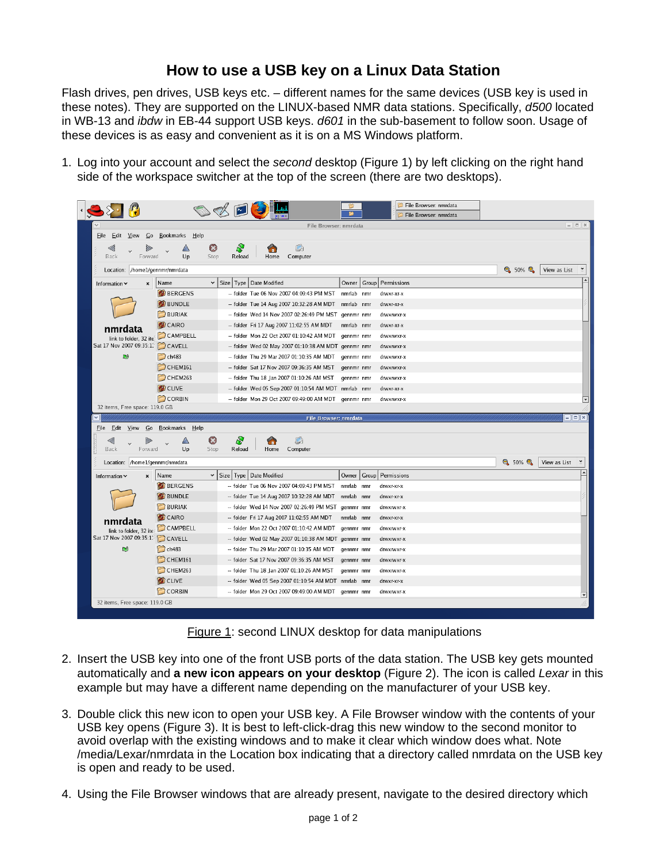## **How to use a USB key on a Linux Data Station**

Flash drives, pen drives, USB keys etc. – different names for the same devices (USB key is used in these notes). They are supported on the LINUX-based NMR data stations. Specifically, *d500* located in WB-13 and *ibdw* in EB-44 support USB keys. *d601* in the sub-basement to follow soon. Usage of these devices is as easy and convenient as it is on a MS Windows platform.

1. Log into your account and select the *second* desktop (Figure 1) by left clicking on the right hand side of the workspace switcher at the top of the screen (there are two desktops).



Figure 1: second LINUX desktop for data manipulations

- 2. Insert the USB key into one of the front USB ports of the data station. The USB key gets mounted automatically and **a new icon appears on your desktop** (Figure 2). The icon is called *Lexar* in this example but may have a different name depending on the manufacturer of your USB key.
- 3. Double click this new icon to open your USB key. A File Browser window with the contents of your USB key opens (Figure 3). It is best to left-click-drag this new window to the second monitor to avoid overlap with the existing windows and to make it clear which window does what. Note /media/Lexar/nmrdata in the Location box indicating that a directory called nmrdata on the USB key is open and ready to be used.
- 4. Using the File Browser windows that are already present, navigate to the desired directory which